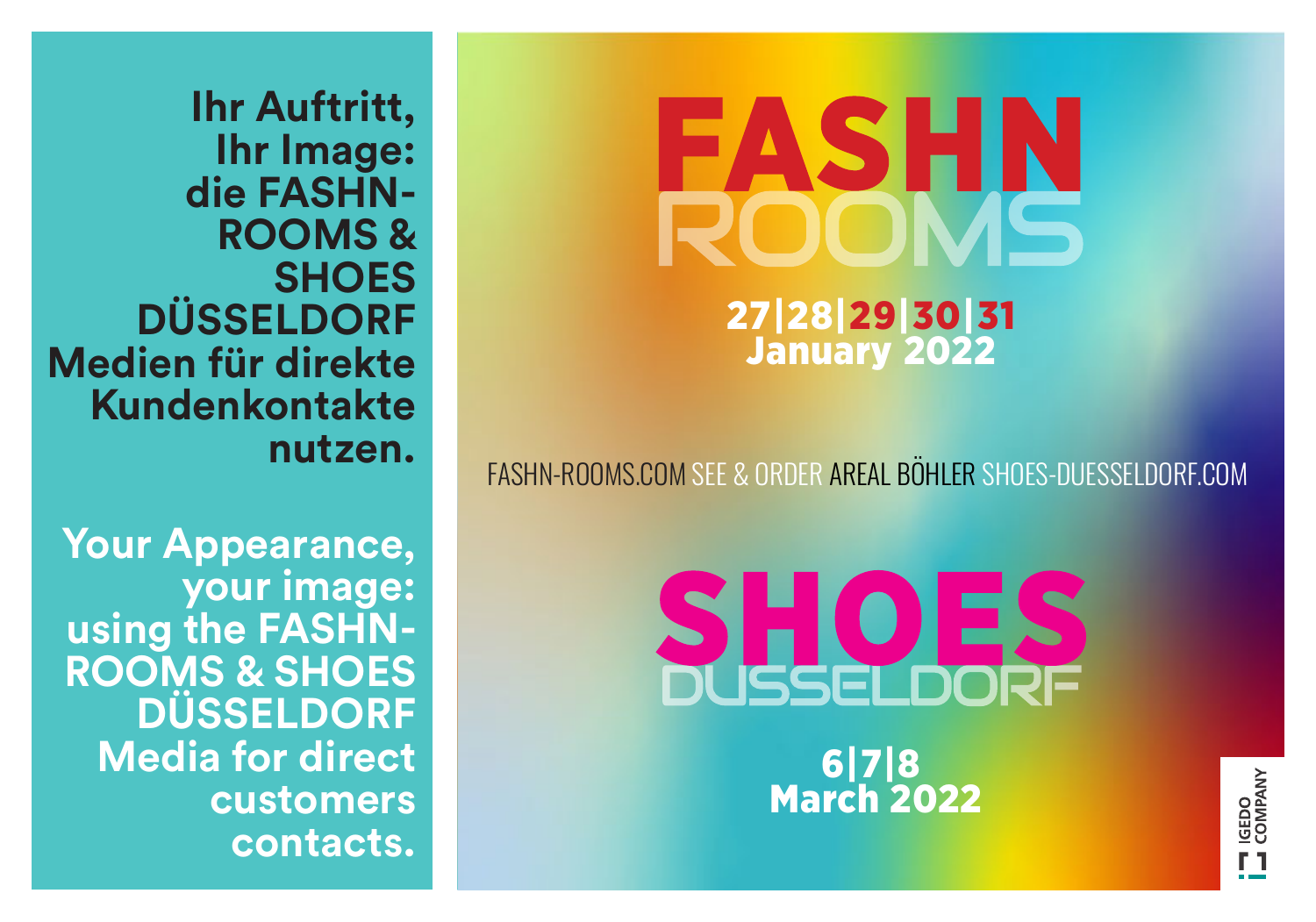**Ihr Auftritt, Ihr Image: die FASHN-ROOMS & SHOES DÜSSELDORF Medien für direkte Kundenkontakte nutzen.**

**Your Appearance, your image: using the FASHN-ROOMS & SHOES DÜSSELDORF Media for direct customers contacts.**

# 27|28|29|30|31 January 2022

FASHN-ROOMS.COM SEE & ORDER AREAL BÖHLER SHOES-DUESSELDORF.COM

SHOLES 6|7|8 March 2022 **AREAL BÖHLER | GALLERY-DUESSELDORF.COM**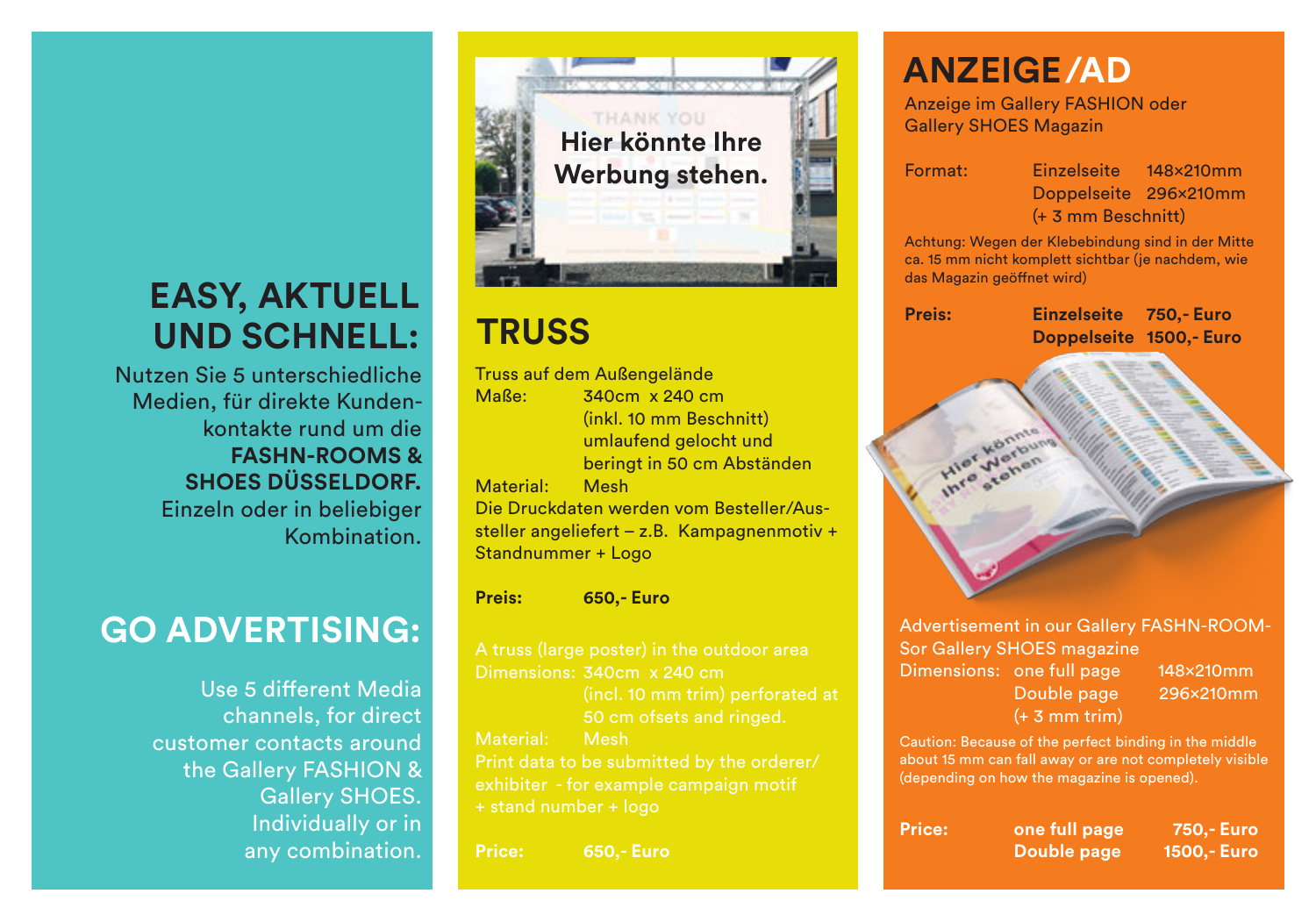## **EASY, AKTUELL UND SCHNELL:**

Nutzen Sie 5 unterschiedliche Medien, für direkte Kundenkontakte rund um die **FASHN-ROOMS & SHOES DÜSSELDORF.** Einzeln oder in beliebiger Kombination.

# **GO ADVERTISING:**

Use 5 different Media channels, for direct customer contacts around the Gallery FASHION & Gallery SHOES. Individually or in any combination.



| Truss auf dem Außengelände                  |                            |  |  |
|---------------------------------------------|----------------------------|--|--|
| Maße:                                       | 340cm x 240 cm             |  |  |
|                                             | (inkl. 10 mm Beschnitt)    |  |  |
| umlaufend gelocht und                       |                            |  |  |
|                                             | beringt in 50 cm Abständen |  |  |
| Material: Mesh                              |                            |  |  |
| Die Druckdaten werden vom Besteller/Aus-    |                            |  |  |
| steller angeliefert – z.B. Kampagnenmotiv + |                            |  |  |
| Standnummer + Logo                          |                            |  |  |
|                                             |                            |  |  |

**Preis: 650,- Euro**

 50 cm ofsets and ringed. Print data to be submitted by the orderer/ + stand number + logo

**Price: 650,- Euro**

## **ANZEIGE /AD**

Anzeige im Gallery FASHION oder Gallery SHOES Magazin

Format: Einzelseite 148x210mm Doppelseite 296x210mm (+ 3 mm Beschnitt)

Achtung: Wegen der Klebebindung sind in der Mitte ca. 15 mm nicht komplett sichtbar (je nachdem, wie das Magazin geöffnet wird)

**Preis: Einzelseite 750,- Euro TRUSS Doppelseite 1500,- Euro**



Advertisement in our Gallery FASHN-ROOM-Sor Gallery SHOES magazine Dimensions: one full page 148x210mm

(+ 3 mm trim)

Double page 296x210mm

Caution: Because of the perfect binding in the middle about 15 mm can fall away or are not completely visible (depending on how the magazine is opened).

| Price: | one full page | 750,- Euro  |
|--------|---------------|-------------|
|        | Double page   | 1500,- Euro |
|        |               |             |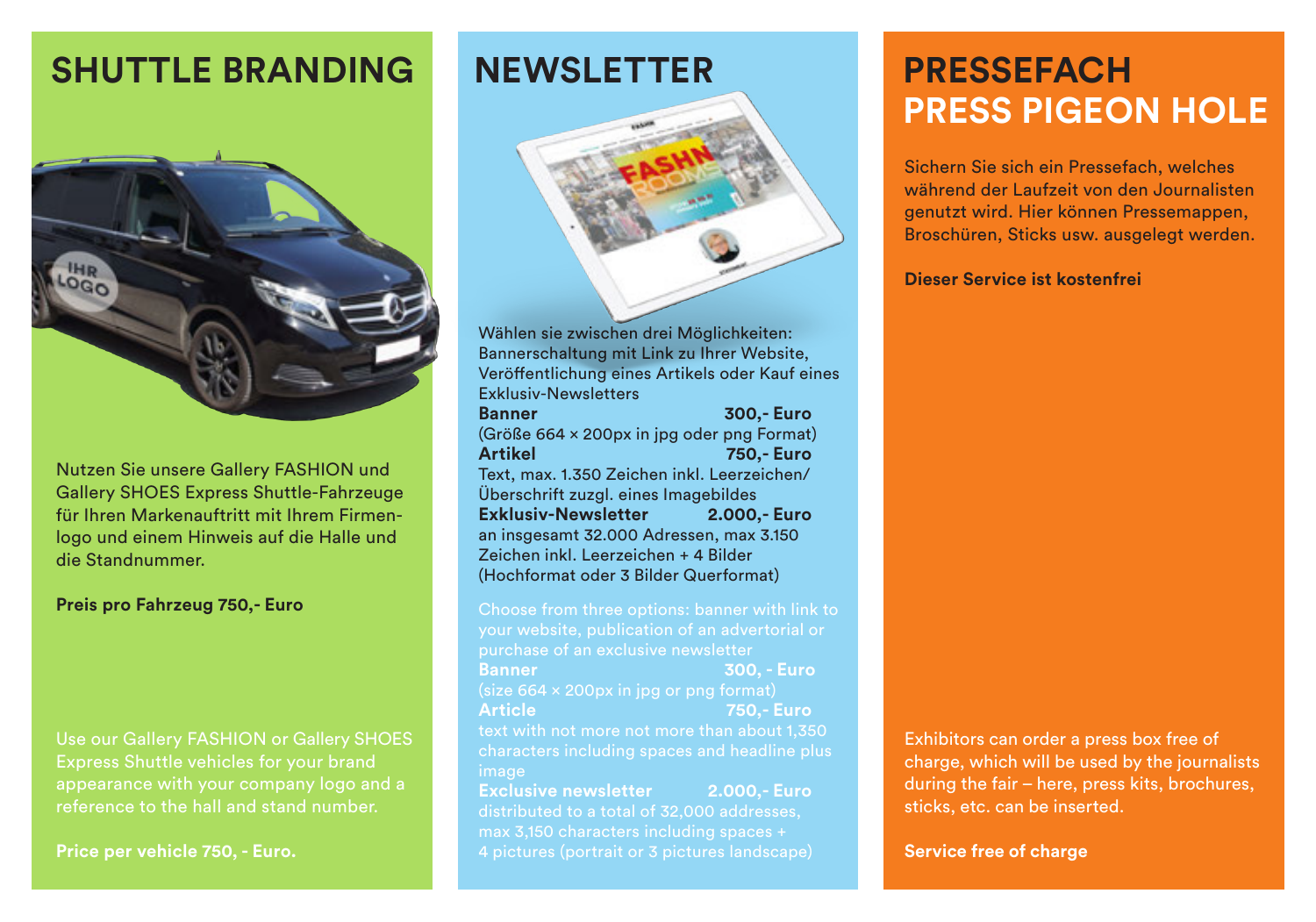## **SHUTTLE BRANDING NEWSLETTER**



Nutzen Sie unsere Gallery FASHION und Gallery SHOES Express Shuttle-Fahrzeuge für Ihren Markenauftritt mit Ihrem Firmenlogo und einem Hinweis auf die Halle und die Standnummer.

## **Preis pro Fahrzeug 750,- Euro**

Use our Gallery FASHION or Gallery SHOES reference to the hall and stand number.

**Price per vehicle 750, - Euro.**



Wählen sie zwischen drei Möglichkeiten: Bannerschaltung mit Link zu Ihrer Website, Veröffentlichung eines Artikels oder Kauf eines Exklusiv-Newsletters **Banner 300,- Euro** (Größe 664 x 200px in jpg oder png Format) **Artikel 750,- Euro** Text, max. 1.350 Zeichen inkl. Leerzeichen/ Überschrift zuzgl. eines Imagebildes **Exklusiv-Newsletter 2.000,- Euro**  an insgesamt 32.000 Adressen, max 3.150 Zeichen inkl. Leerzeichen + 4 Bilder (Hochformat oder 3 Bilder Querformat)

Choose from three options: banner with link to your website, publication of an advertorial or **Banner 300, - Euro**  (size 664 x 200px in jpg or png format) **Article 750,- Euro** text with not more not more than about 1,350 characters including spaces and headline plus **Exclusive newsletter 2.000,- Euro**

distributed to a total of 32,000 addresses, max 3,150 characters including spaces + 4 pictures (portrait or 3 pictures landscape)

## **PRESSEFACH PRESS PIGEON HOLE**

Sichern Sie sich ein Pressefach, welches während der Laufzeit von den Journalisten genutzt wird. Hier können Pressemappen, Broschüren, Sticks usw. ausgelegt werden.

### **Dieser Service ist kostenfrei**

Exhibitors can order a press box free of charge, which will be used by the journalists during the fair – here, press kits, brochures, sticks, etc. can be inserted.

**Service free of charge**